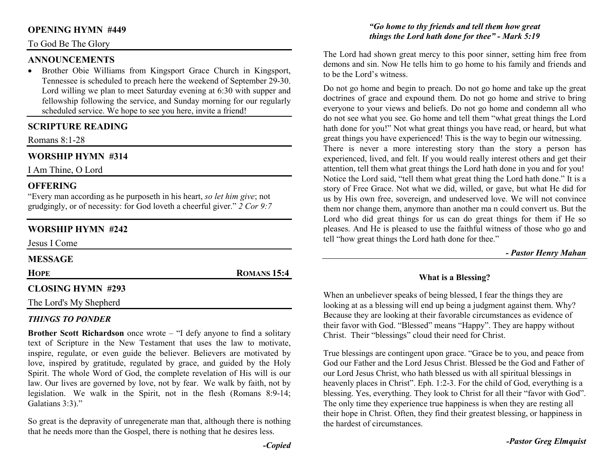#### **OPENING HYMN #449**

#### To God Be The Glory

#### **ANNOUNCEMENTS**

 • Brother Obie Williams from Kingsport Grace Church in Kingsport, Tennessee is scheduled to preach here the weekend of September 29-30. Lord willing we plan to meet Saturday evening at 6:30 with supper and fellowship following the service, and Sunday morning for our regularly scheduled service. We hope to see you here, invite a friend!

## **SCRIPTURE READING**

Romans 8:1-28

# **WORSHIP HYMN #314**

I Am Thine, O Lord

#### **OFFERING**

 "Every man according as he purposeth in his heart, *so let him give*; not grudgingly, or of necessity: for God loveth a cheerful giver." *2 Cor 9:7*

# **WORSHIP HYMN #242**

Jesus I Come

#### **MESSAGE**

**HOPE**

# **ROMANS 15:4**

## **CLOSING HYMN #293**

The Lord's My Shepherd

## *THINGS TO PONDER*

 **Brother Scott Richardson** once wrote – "I defy anyone to find a solitary text of Scripture in the New Testament that uses the law to motivate, inspire, regulate, or even guide the believer. Believers are motivated by love, inspired by gratitude, regulated by grace, and guided by the Holy Spirit. The whole Word of God, the complete revelation of His will is our law. Our lives are governed by love, not by fear. We walk by faith, not by legislation. We walk in the Spirit, not in the flesh (Romans 8:9-14; Galatians 3:3)."

So great is the depravity of unregenerate man that, although there is nothing that he needs more than the Gospel, there is nothing that he desires less.

#### *"Go home to thy friends and tell them how great things the Lord hath done for thee" - Mark 5:19*

The Lord had shown great mercy to this poor sinner, setting him free from demons and sin. Now He tells him to go home to his family and friends and to be the Lord's witness.

Do not go home and begin to preach. Do not go home and take up the great doctrines of grace and expound them. Do not go home and strive to bring everyone to your views and beliefs. Do not go home and condemn all who do not see what you see. Go home and tell them "what great things the Lord hath done for you!" Not what great things you have read, or heard, but what great things you have experienced! This is the way to begin our witnessing. There is never a more interesting story than the story a person has experienced, lived, and felt. If you would really interest others and get their attention, tell them what great things the Lord hath done in you and for you! Notice the Lord said, "tell them what great thing the Lord hath done." It is a story of Free Grace. Not what we did, willed, or gave, but what He did for us by His own free, sovereign, and undeserved love. We will not convince them nor change them, anymore than another ma n could convert us. But the Lord who did great things for us can do great things for them if He so pleases. And He is pleased to use the faithful witness of those who go and tell "how great things the Lord hath done for thee."

*- Pastor Henry Mahan*

#### **What is a Blessing?**

When an unbeliever speaks of being blessed, I fear the things they are looking at as a blessing will end up being a judgment against them. Why? Because they are looking at their favorable circumstances as evidence of their favor with God. "Blessed" means "Happy". They are happy without Christ. Their "blessings" cloud their need for Christ.

True blessings are contingent upon grace. "Grace be to you, and peace from God our Father and the Lord Jesus Christ. Blessed be the God and Father of our Lord Jesus Christ, who hath blessed us with all spiritual blessings in heavenly places in Christ". Eph. 1:2-3. For the child of God, everything is a blessing. Yes, everything. They look to Christ for all their "favor with God". The only time they experience true happiness is when they are resting all their hope in Christ. Often, they find their greatest blessing, or happiness in the hardest of circumstances.